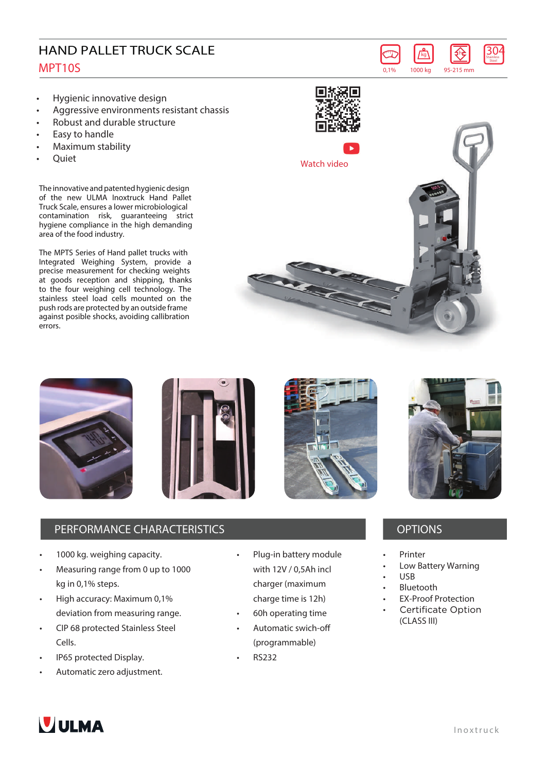## HAND PALLET TRUCK SCALE MPT10S

- **• Hygienic innovative design**
- **• Aggressive environments resistant chassis**
- **• Robust and durable structure**
- **• Easy to handle**
- **• Maximum stability**
- **• Quiet**

The innovative and patented hygienic design of the new ULMA Inoxtruck Hand Pallet Truck Scale, ensures a lower microbiological contamination risk, guaranteeing strict hygiene compliance in the high demanding area of the food industry.

The MPTS Series of Hand pallet trucks with Integrated Weighing System, provide a precise measurement for checking weights at goods reception and shipping, thanks to the four weighing cell technology. The stainless steel load cells mounted on the push rods are protected by an outside frame against posible shocks, avoiding callibration errors.







## **PERFORMANCE CHARACTERISTICS CONSUMING A REAL PROPERTY OPTIONS**

- 1000 kg. weighing capacity.
- Measuring range from 0 up to 1000 kg in 0,1% steps.
- High accuracy: Maximum 0,1% deviation from measuring range.
- CIP 68 protected Stainless Steel Cells.
- IP65 protected Display.
- Automatic zero adjustment.
- Plug-in battery module with 12V / 0,5Ah incl charger (maximum charge time is 12h)
- 60h operating time
- Automatic swich-off (programmable)
- RS232



kg **304** Stainless **Stee** 

 $\left\{ \right\}$ 

**0,1% 1000 kg 95-215 mm**

- **Printer**
- Low Battery Warning
- USB
- Bluetooth
- EX-Proof Protection
- **Certificate Option** • (CLASS III)